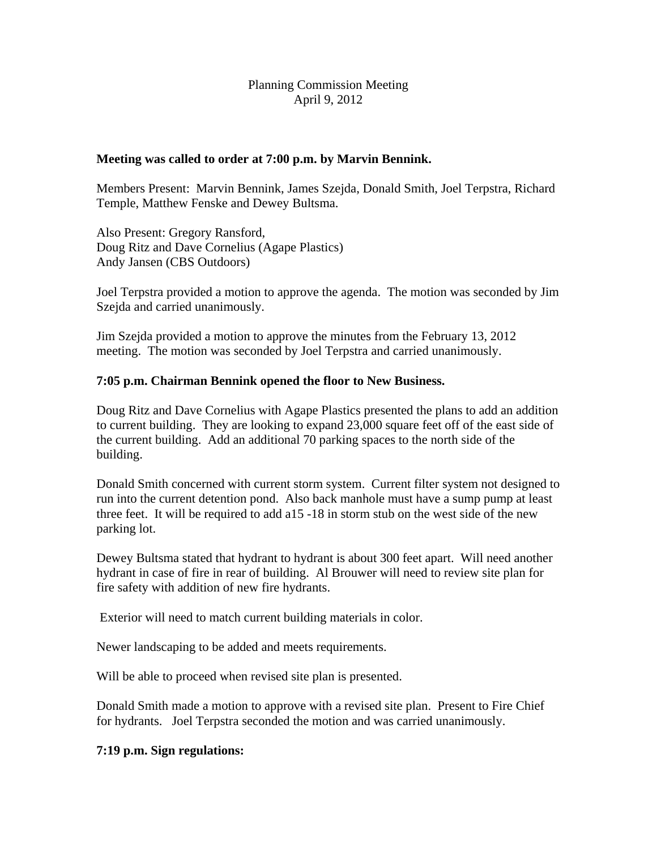## Planning Commission Meeting April 9, 2012

#### **Meeting was called to order at 7:00 p.m. by Marvin Bennink.**

Members Present: Marvin Bennink, James Szejda, Donald Smith, Joel Terpstra, Richard Temple, Matthew Fenske and Dewey Bultsma.

Also Present: Gregory Ransford, Doug Ritz and Dave Cornelius (Agape Plastics) Andy Jansen (CBS Outdoors)

Joel Terpstra provided a motion to approve the agenda. The motion was seconded by Jim Szejda and carried unanimously.

Jim Szejda provided a motion to approve the minutes from the February 13, 2012 meeting. The motion was seconded by Joel Terpstra and carried unanimously.

## **7:05 p.m. Chairman Bennink opened the floor to New Business.**

Doug Ritz and Dave Cornelius with Agape Plastics presented the plans to add an addition to current building. They are looking to expand 23,000 square feet off of the east side of the current building. Add an additional 70 parking spaces to the north side of the building.

Donald Smith concerned with current storm system. Current filter system not designed to run into the current detention pond. Also back manhole must have a sump pump at least three feet. It will be required to add a15 -18 in storm stub on the west side of the new parking lot.

Dewey Bultsma stated that hydrant to hydrant is about 300 feet apart. Will need another hydrant in case of fire in rear of building. Al Brouwer will need to review site plan for fire safety with addition of new fire hydrants.

Exterior will need to match current building materials in color.

Newer landscaping to be added and meets requirements.

Will be able to proceed when revised site plan is presented.

Donald Smith made a motion to approve with a revised site plan. Present to Fire Chief for hydrants. Joel Terpstra seconded the motion and was carried unanimously.

## **7:19 p.m. Sign regulations:**